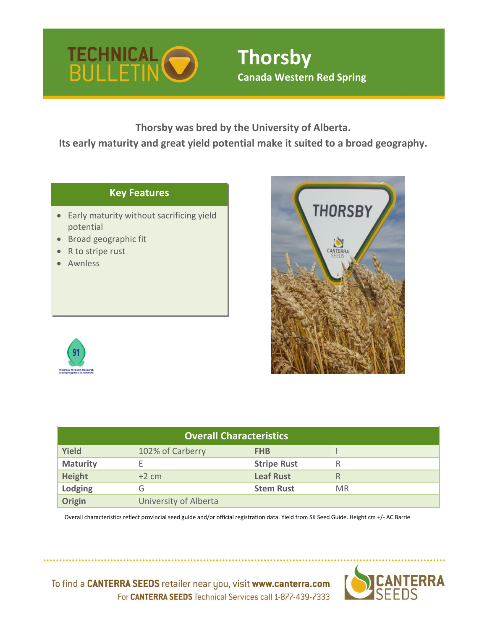

# **Thorsby Canada Western Red Spring**

**Thorsby was bred by the University of Alberta.**

**Its early maturity and great yield potential make it suited to a broad geography.**

# **Key Features**

- Early maturity without sacrificing yield potential
- Broad geographic fit
- R to stripe rust
- **Awnless**





| <b>Overall Characteristics</b> |                       |                    |           |  |  |  |  |  |  |
|--------------------------------|-----------------------|--------------------|-----------|--|--|--|--|--|--|
| <b>Yield</b>                   | 102% of Carberry      | <b>FHB</b>         |           |  |  |  |  |  |  |
| <b>Maturity</b>                |                       | <b>Stripe Rust</b> | R         |  |  |  |  |  |  |
| <b>Height</b>                  | $+2$ cm               | <b>Leaf Rust</b>   | R         |  |  |  |  |  |  |
| Lodging                        | G                     | <b>Stem Rust</b>   | <b>MR</b> |  |  |  |  |  |  |
| <b>Origin</b>                  | University of Alberta |                    |           |  |  |  |  |  |  |

Overall characteristics reflect provincial seed guide and/or official registration data. Yield from SK Seed Guide. Height cm +/- AC Barrie



To find a CANTERRA SEEDS retailer near you, visit www.canterra.com For CANTERRA SEEDS Technical Services call 1-877-439-7333